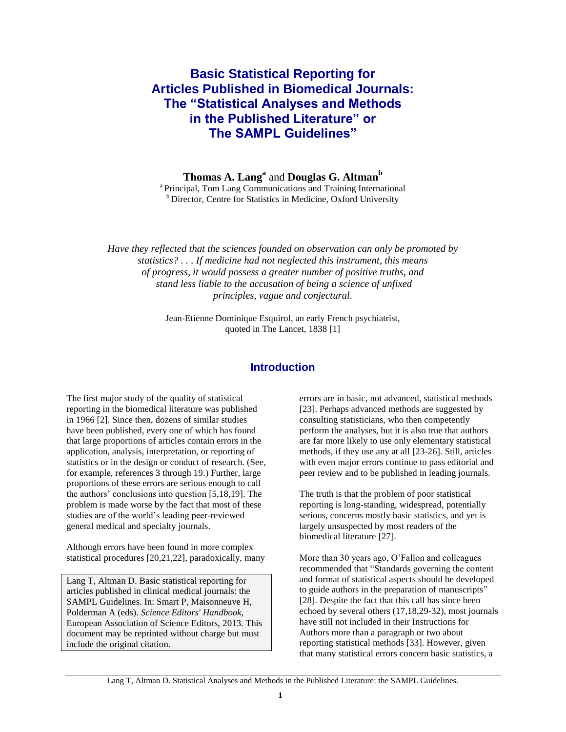# **Basic Statistical Reporting for Articles Published in Biomedical Journals: The "Statistical Analyses and Methods in the Published Literature" or The SAMPL Guidelines"**

**Thomas A. Lang<sup>a</sup>** and **Douglas G. Altman<sup>b</sup>**

<sup>a</sup> Principal, Tom Lang Communications and Training International **b** Director, Centre for Statistics in Medicine, Oxford University

*Have they reflected that the sciences founded on observation can only be promoted by statistics? . . . If medicine had not neglected this instrument, this means of progress, it would possess a greater number of positive truths, and stand less liable to the accusation of being a science of unfixed principles, vague and conjectural.*

> Jean-Etienne Dominique Esquirol, an early French psychiatrist, quoted in The Lancet, 1838 [1]

### **Introduction**

The first major study of the quality of statistical reporting in the biomedical literature was published in 1966 [2]. Since then, dozens of similar studies have been published, every one of which has found that large proportions of articles contain errors in the application, analysis, interpretation, or reporting of statistics or in the design or conduct of research. (See, for example, references 3 through 19.) Further, large proportions of these errors are serious enough to call the authors' conclusions into question [5,18,19]. The problem is made worse by the fact that most of these studies are of the world's leading peer-reviewed general medical and specialty journals.

Although errors have been found in more complex statistical procedures [20,21,22], paradoxically, many

Lang T, Altman D. Basic statistical reporting for articles published in clinical medical journals: the SAMPL Guidelines. In: Smart P, Maisonneuve H, Polderman A (eds). *Science Editors' Handbook,* European Association of Science Editors, 2013. This document may be reprinted without charge but must include the original citation.

errors are in basic, not advanced, statistical methods [23]. Perhaps advanced methods are suggested by consulting statisticians, who then competently perform the analyses, but it is also true that authors are far more likely to use only elementary statistical methods, if they use any at all [23-26]. Still, articles with even major errors continue to pass editorial and peer review and to be published in leading journals.

The truth is that the problem of poor statistical reporting is long-standing, widespread, potentially serious, concerns mostly basic statistics, and yet is largely unsuspected by most readers of the biomedical literature [27].

More than 30 years ago, O'Fallon and colleagues recommended that "Standards governing the content and format of statistical aspects should be developed to guide authors in the preparation of manuscripts" [28]. Despite the fact that this call has since been echoed by several others (17,18,29-32), most journals have still not included in their Instructions for Authors more than a paragraph or two about reporting statistical methods [33]. However, given that many statistical errors concern basic statistics, a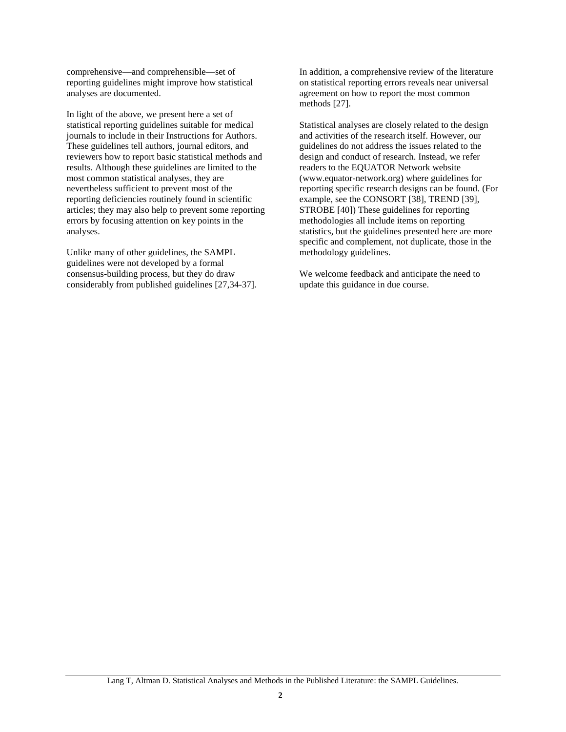comprehensive—and comprehensible—set of reporting guidelines might improve how statistical analyses are documented.

In light of the above, we present here a set of statistical reporting guidelines suitable for medical journals to include in their Instructions for Authors. These guidelines tell authors, journal editors, and reviewers how to report basic statistical methods and results. Although these guidelines are limited to the most common statistical analyses, they are nevertheless sufficient to prevent most of the reporting deficiencies routinely found in scientific articles; they may also help to prevent some reporting errors by focusing attention on key points in the analyses.

Unlike many of other guidelines, the SAMPL guidelines were not developed by a formal consensus-building process, but they do draw considerably from published guidelines [27,34-37]. In addition, a comprehensive review of the literature on statistical reporting errors reveals near universal agreement on how to report the most common methods [27].

Statistical analyses are closely related to the design and activities of the research itself. However, our guidelines do not address the issues related to the design and conduct of research. Instead, we refer readers to the EQUATOR Network website (www.equator-network.org) where guidelines for reporting specific research designs can be found. (For example, see the CONSORT [38], TREND [39], STROBE [40]) These guidelines for reporting methodologies all include items on reporting statistics, but the guidelines presented here are more specific and complement, not duplicate, those in the methodology guidelines.

We welcome feedback and anticipate the need to update this guidance in due course.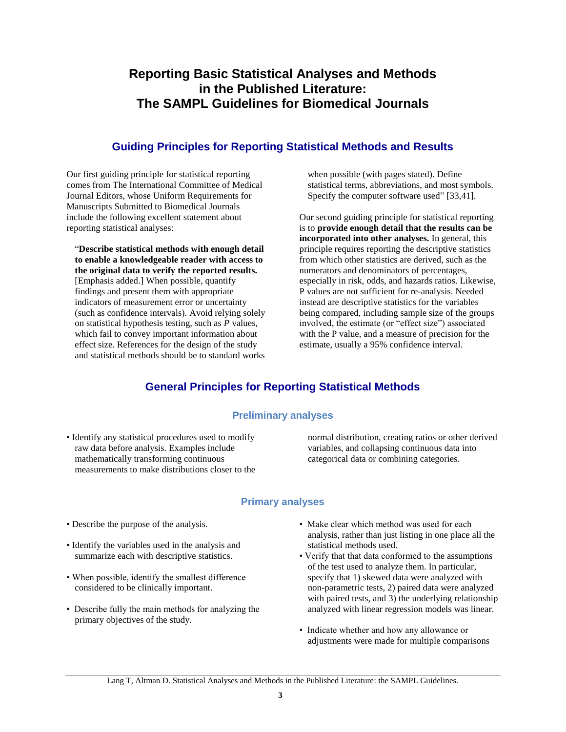# **Reporting Basic Statistical Analyses and Methods in the Published Literature: The SAMPL Guidelines for Biomedical Journals**

# **Guiding Principles for Reporting Statistical Methods and Results**

Our first guiding principle for statistical reporting comes from The International Committee of Medical Journal Editors, whose Uniform Requirements for Manuscripts Submitted to Biomedical Journals include the following excellent statement about reporting statistical analyses:

"**Describe statistical methods with enough detail to enable a knowledgeable reader with access to the original data to verify the reported results.** [Emphasis added.] When possible, quantify findings and present them with appropriate indicators of measurement error or uncertainty (such as confidence intervals). Avoid relying solely on statistical hypothesis testing, such as *P* values, which fail to convey important information about effect size. References for the design of the study and statistical methods should be to standard works

when possible (with pages stated). Define statistical terms, abbreviations, and most symbols. Specify the computer software used" [33,41].

Our second guiding principle for statistical reporting is to **provide enough detail that the results can be incorporated into other analyses.** In general, this principle requires reporting the descriptive statistics from which other statistics are derived, such as the numerators and denominators of percentages, especially in risk, odds, and hazards ratios. Likewise, P values are not sufficient for re-analysis. Needed instead are descriptive statistics for the variables being compared, including sample size of the groups involved, the estimate (or "effect size") associated with the P value, and a measure of precision for the estimate, usually a 95% confidence interval.

# **General Principles for Reporting Statistical Methods**

# **Preliminary analyses**

• Identify any statistical procedures used to modify raw data before analysis. Examples include mathematically transforming continuous measurements to make distributions closer to the normal distribution, creating ratios or other derived variables, and collapsing continuous data into categorical data or combining categories.

# **Primary analyses**

- Describe the purpose of the analysis.
- Identify the variables used in the analysis and summarize each with descriptive statistics.
- When possible, identify the smallest difference considered to be clinically important.
- Describe fully the main methods for analyzing the primary objectives of the study.
- Make clear which method was used for each analysis, rather than just listing in one place all the statistical methods used.
- Verify that that data conformed to the assumptions of the test used to analyze them. In particular, specify that 1) skewed data were analyzed with non-parametric tests, 2) paired data were analyzed with paired tests, and 3) the underlying relationship analyzed with linear regression models was linear.
- Indicate whether and how any allowance or adjustments were made for multiple comparisons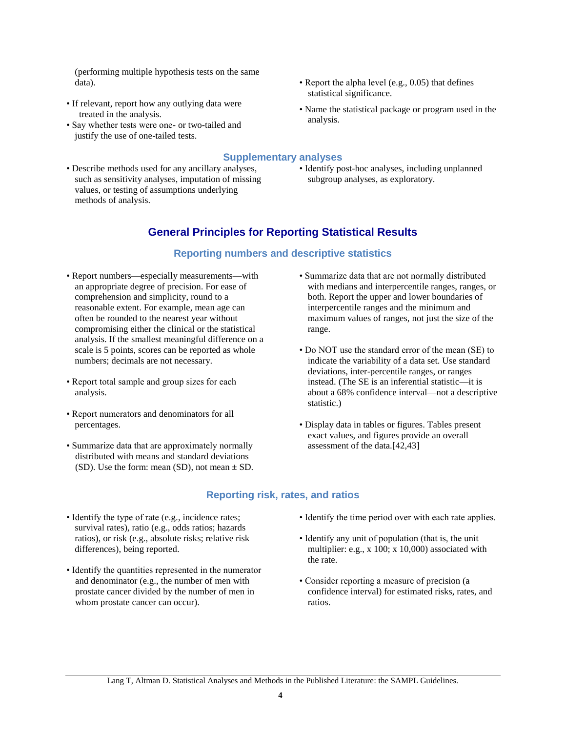(performing multiple hypothesis tests on the same data).

- If relevant, report how any outlying data were treated in the analysis.
- Say whether tests were one- or two-tailed and justify the use of one-tailed tests.
- Report the alpha level (e.g., 0.05) that defines statistical significance.
- Name the statistical package or program used in the analysis.

#### **Supplementary analyses**

- Describe methods used for any ancillary analyses, such as sensitivity analyses, imputation of missing values, or testing of assumptions underlying methods of analysis.
- Identify post-hoc analyses, including unplanned subgroup analyses, as exploratory.

# **General Principles for Reporting Statistical Results**

#### **Reporting numbers and descriptive statistics**

- Report numbers—especially measurements—with an appropriate degree of precision. For ease of comprehension and simplicity, round to a reasonable extent. For example, mean age can often be rounded to the nearest year without compromising either the clinical or the statistical analysis. If the smallest meaningful difference on a scale is 5 points, scores can be reported as whole numbers; decimals are not necessary.
- Report total sample and group sizes for each analysis.
- Report numerators and denominators for all percentages.
- Summarize data that are approximately normally distributed with means and standard deviations (SD). Use the form: mean (SD), not mean  $\pm$  SD.
- Summarize data that are not normally distributed with medians and interpercentile ranges, ranges, or both. Report the upper and lower boundaries of interpercentile ranges and the minimum and maximum values of ranges, not just the size of the range.
- Do NOT use the standard error of the mean (SE) to indicate the variability of a data set. Use standard deviations, inter-percentile ranges, or ranges instead. (The SE is an inferential statistic—it is about a 68% confidence interval—not a descriptive statistic.)
- Display data in tables or figures. Tables present exact values, and figures provide an overall assessment of the data.[42,43]

#### **Reporting risk, rates, and ratios**

- Identify the type of rate (e.g., incidence rates; survival rates), ratio (e.g., odds ratios; hazards ratios), or risk (e.g., absolute risks; relative risk differences), being reported.
- Identify the quantities represented in the numerator and denominator (e.g., the number of men with prostate cancer divided by the number of men in whom prostate cancer can occur).
- Identify the time period over with each rate applies.
- Identify any unit of population (that is, the unit multiplier: e.g., x 100; x 10,000) associated with the rate.
- Consider reporting a measure of precision (a confidence interval) for estimated risks, rates, and ratios.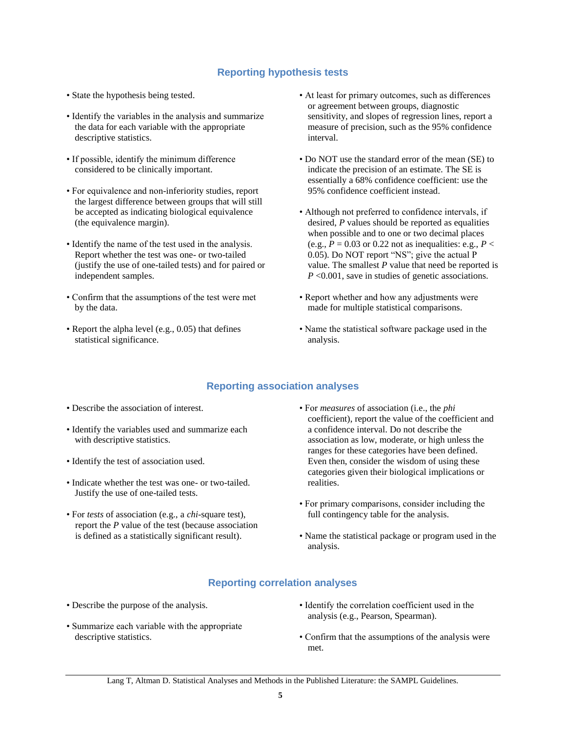### **Reporting hypothesis tests**

- State the hypothesis being tested.
- Identify the variables in the analysis and summarize the data for each variable with the appropriate descriptive statistics.
- If possible, identify the minimum difference considered to be clinically important.
- For equivalence and non-inferiority studies, report the largest difference between groups that will still be accepted as indicating biological equivalence (the equivalence margin).
- Identify the name of the test used in the analysis. Report whether the test was one- or two-tailed (justify the use of one-tailed tests) and for paired or independent samples.
- Confirm that the assumptions of the test were met by the data.
- Report the alpha level (e.g., 0.05) that defines statistical significance.
- At least for primary outcomes, such as differences or agreement between groups, diagnostic sensitivity, and slopes of regression lines, report a measure of precision, such as the 95% confidence interval.
- Do NOT use the standard error of the mean (SE) to indicate the precision of an estimate. The SE is essentially a 68% confidence coefficient: use the 95% confidence coefficient instead.
- Although not preferred to confidence intervals, if desired, *P* values should be reported as equalities when possible and to one or two decimal places (e.g.,  $P = 0.03$  or 0.22 not as inequalities: e.g.,  $P <$ 0.05). Do NOT report "NS"; give the actual P value. The smallest *P* value that need be reported is *P* <0.001, save in studies of genetic associations.
- Report whether and how any adjustments were made for multiple statistical comparisons.
- Name the statistical software package used in the analysis.

# **Reporting association analyses**

- Describe the association of interest.
- Identify the variables used and summarize each with descriptive statistics.
- Identify the test of association used.
- Indicate whether the test was one- or two-tailed. Justify the use of one-tailed tests.
- For *tests* of association (e.g., a *chi*-square test), report the *P* value of the test (because association is defined as a statistically significant result).
- For *measures* of association (i.e., the *phi* coefficient), report the value of the coefficient and a confidence interval. Do not describe the association as low, moderate, or high unless the ranges for these categories have been defined. Even then, consider the wisdom of using these categories given their biological implications or realities.
- For primary comparisons, consider including the full contingency table for the analysis.
- Name the statistical package or program used in the analysis.

# **Reporting correlation analyses**

- Describe the purpose of the analysis.
- Summarize each variable with the appropriate descriptive statistics.
- Identify the correlation coefficient used in the analysis (e.g., Pearson, Spearman).
- Confirm that the assumptions of the analysis were met.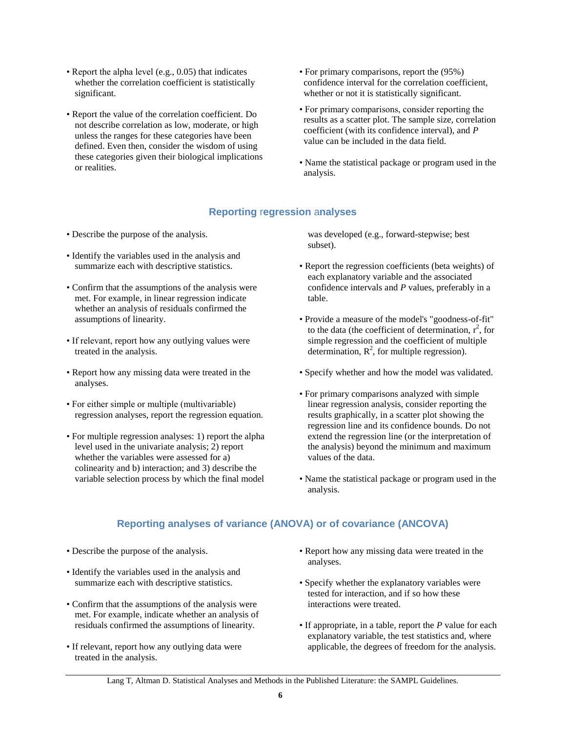- Report the alpha level (e.g., 0.05) that indicates whether the correlation coefficient is statistically significant.
- Report the value of the correlation coefficient. Do not describe correlation as low, moderate, or high unless the ranges for these categories have been defined. Even then, consider the wisdom of using these categories given their biological implications or realities.
- For primary comparisons, report the (95%) confidence interval for the correlation coefficient, whether or not it is statistically significant.
- For primary comparisons, consider reporting the results as a scatter plot. The sample size, correlation coefficient (with its confidence interval), and *P* value can be included in the data field.
- Name the statistical package or program used in the analysis.

#### **Reporting** r**egression** a**nalyses**

- Describe the purpose of the analysis.
- Identify the variables used in the analysis and summarize each with descriptive statistics.
- Confirm that the assumptions of the analysis were met. For example, in linear regression indicate whether an analysis of residuals confirmed the assumptions of linearity.
- If relevant, report how any outlying values were treated in the analysis.
- Report how any missing data were treated in the analyses.
- For either simple or multiple (multivariable) regression analyses, report the regression equation.
- For multiple regression analyses: 1) report the alpha level used in the univariate analysis; 2) report whether the variables were assessed for a) colinearity and b) interaction; and 3) describe the variable selection process by which the final model

was developed (e.g., forward-stepwise; best subset).

- Report the regression coefficients (beta weights) of each explanatory variable and the associated confidence intervals and *P* values, preferably in a table.
- Provide a measure of the model's "goodness-of-fit" to the data (the coefficient of determination,  $r^2$ , for simple regression and the coefficient of multiple determination,  $R^2$ , for multiple regression).
- Specify whether and how the model was validated.
- For primary comparisons analyzed with simple linear regression analysis, consider reporting the results graphically, in a scatter plot showing the regression line and its confidence bounds. Do not extend the regression line (or the interpretation of the analysis) beyond the minimum and maximum values of the data.
- Name the statistical package or program used in the analysis.

# **Reporting analyses of variance (ANOVA) or of covariance (ANCOVA)**

- Describe the purpose of the analysis.
- Identify the variables used in the analysis and summarize each with descriptive statistics.
- Confirm that the assumptions of the analysis were met. For example, indicate whether an analysis of residuals confirmed the assumptions of linearity.
- If relevant, report how any outlying data were treated in the analysis.
- Report how any missing data were treated in the analyses.
- Specify whether the explanatory variables were tested for interaction, and if so how these interactions were treated.
- If appropriate, in a table, report the *P* value for each explanatory variable, the test statistics and, where applicable, the degrees of freedom for the analysis.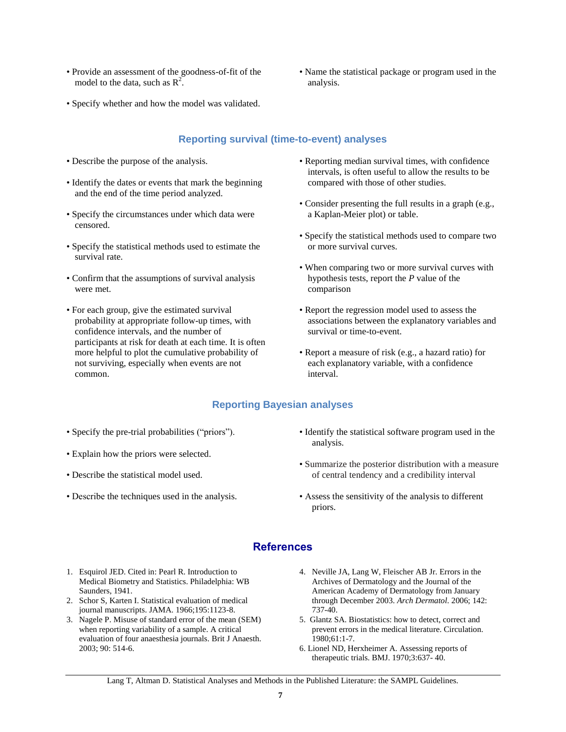- Provide an assessment of the goodness-of-fit of the model to the data, such as  $R^2$ .
- Name the statistical package or program used in the analysis.
- Specify whether and how the model was validated.

#### **Reporting survival (time-to-event) analyses**

- Describe the purpose of the analysis.
- Identify the dates or events that mark the beginning and the end of the time period analyzed.
- Specify the circumstances under which data were censored.
- Specify the statistical methods used to estimate the survival rate.
- Confirm that the assumptions of survival analysis were met.
- For each group, give the estimated survival probability at appropriate follow-up times, with confidence intervals, and the number of participants at risk for death at each time. It is often more helpful to plot the cumulative probability of not surviving, especially when events are not common.
- Reporting median survival times, with confidence intervals, is often useful to allow the results to be compared with those of other studies.
- Consider presenting the full results in a graph (e.g., a Kaplan-Meier plot) or table.
- Specify the statistical methods used to compare two or more survival curves.
- When comparing two or more survival curves with hypothesis tests, report the *P* value of the comparison
- Report the regression model used to assess the associations between the explanatory variables and survival or time-to-event.
- Report a measure of risk (e.g., a hazard ratio) for each explanatory variable, with a confidence interval.

#### **Reporting Bayesian analyses**

- Specify the pre-trial probabilities ("priors").
- Explain how the priors were selected.
- Describe the statistical model used.
- Describe the techniques used in the analysis.
- Identify the statistical software program used in the analysis.
- Summarize the posterior distribution with a measure of central tendency and a credibility interval
- Assess the sensitivity of the analysis to different priors.

#### **References**

- 1. Esquirol JED. Cited in: Pearl R. Introduction to Medical Biometry and Statistics. Philadelphia: WB Saunders, 1941.
- 2. Schor S, Karten I. Statistical evaluation of medical journal manuscripts. JAMA. 1966;195:1123-8.
- 3. Nagele P. Misuse of standard error of the mean (SEM) when reporting variability of a sample. A critical evaluation of four anaesthesia journals. Brit J Anaesth. 2003; 90: 514-6.
- 4. Neville JA, Lang W, Fleischer AB Jr. Errors in the Archives of Dermatology and the Journal of the American Academy of Dermatology from January through December 2003. *Arch Dermatol.* 2006; 142: 737-40.
- 5. Glantz SA. Biostatistics: how to detect, correct and prevent errors in the medical literature. Circulation. 1980;61:1-7.
- 6. Lionel ND, Herxheimer A. Assessing reports of therapeutic trials. BMJ. 1970;3:637- 40.